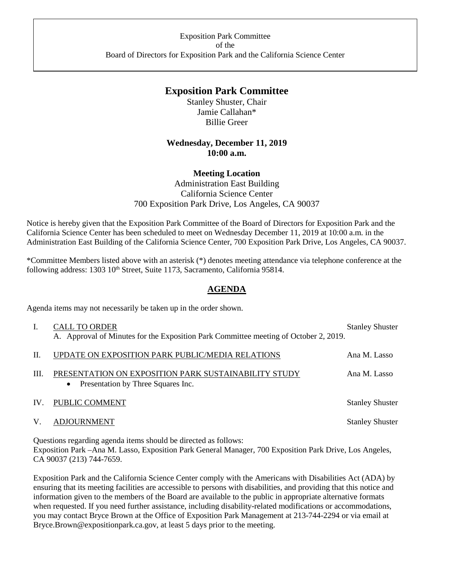## **Exposition Park Committee**

Stanley Shuster, Chair Jamie Callahan\* Billie Greer

## **Wednesday, December 11, 2019 10:00 a.m.**

## **Meeting Location**

Administration East Building California Science Center 700 Exposition Park Drive, Los Angeles, CA 90037

Notice is hereby given that the Exposition Park Committee of the Board of Directors for Exposition Park and the California Science Center has been scheduled to meet on Wednesday December 11, 2019 at 10:00 a.m. in the Administration East Building of the California Science Center, 700 Exposition Park Drive, Los Angeles, CA 90037.

\*Committee Members listed above with an asterisk (\*) denotes meeting attendance via telephone conference at the following address: 1303 10<sup>th</sup> Street, Suite 1173, Sacramento, California 95814.

## **AGENDA**

Agenda items may not necessarily be taken up in the order shown.

| L.   | <b>CALL TO ORDER</b>                                                                 | <b>Stanley Shuster</b> |
|------|--------------------------------------------------------------------------------------|------------------------|
|      | A. Approval of Minutes for the Exposition Park Committee meeting of October 2, 2019. |                        |
| II.  | UPDATE ON EXPOSITION PARK PUBLIC/MEDIA RELATIONS                                     | Ana M. Lasso           |
| III. | PRESENTATION ON EXPOSITION PARK SUSTAINABILITY STUDY                                 | Ana M. Lasso           |
|      | Presentation by Three Squares Inc.<br>$\bullet$                                      |                        |
| IV.  | PUBLIC COMMENT                                                                       | <b>Stanley Shuster</b> |
| V.   | <b>ADJOURNMENT</b>                                                                   | <b>Stanley Shuster</b> |
|      |                                                                                      |                        |

Questions regarding agenda items should be directed as follows: Exposition Park –Ana M. Lasso, Exposition Park General Manager, 700 Exposition Park Drive, Los Angeles, CA 90037 (213) 744-7659.

Exposition Park and the California Science Center comply with the Americans with Disabilities Act (ADA) by ensuring that its meeting facilities are accessible to persons with disabilities, and providing that this notice and information given to the members of the Board are available to the public in appropriate alternative formats when requested. If you need further assistance, including disability-related modifications or accommodations, you may contact Bryce Brown at the Office of Exposition Park Management at 213-744-2294 or via email at Bryce.Brown@expositionpark.ca.gov, at least 5 days prior to the meeting.